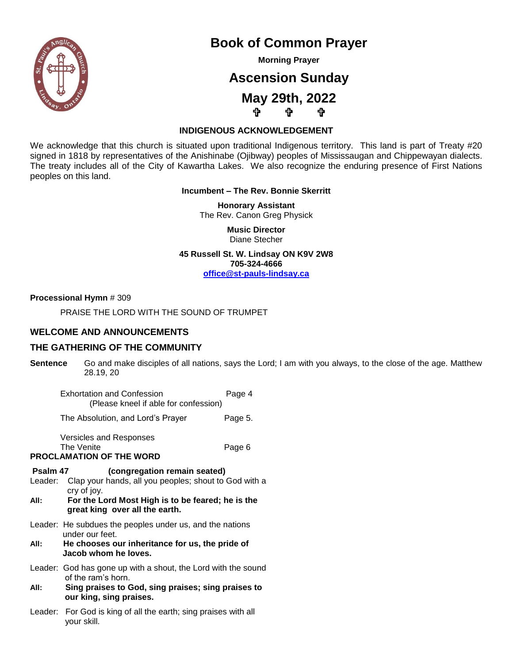

## **Book of Common Prayer**

**Morning Prayer**

# **Ascension Sunday**

**May 29th, 2022 . . . .** 

#### **INDIGENOUS ACKNOWLEDGEMENT**

We acknowledge that this church is situated upon traditional Indigenous territory. This land is part of Treaty #20 signed in 1818 by representatives of the Anishinabe (Ojibway) peoples of Mississaugan and Chippewayan dialects. The treaty includes all of the City of Kawartha Lakes. We also recognize the enduring presence of First Nations peoples on this land.

#### **Incumbent – The Rev. Bonnie Skerritt**

**Honorary Assistant**  The Rev. Canon Greg Physick

> **Music Director** Diane Stecher

**45 Russell St. W. Lindsay ON K9V 2W8 705-324-4666 [office@st-pauls-lindsay.ca](mailto:office@st-pauls-lindsay.ca)**

#### **Processional Hymn** # 309

PRAISE THE LORD WITH THE SOUND OF TRUMPET

#### **WELCOME AND ANNOUNCEMENTS**

#### **THE GATHERING OF THE COMMUNITY**

**Sentence** Go and make disciples of all nations, says the Lord; I am with you always, to the close of the age. Matthew 28.19, 20

|      | <b>Exhortation and Confession</b><br>(Please kneel if able for confession)                                                                                                    | Page 4  |  |
|------|-------------------------------------------------------------------------------------------------------------------------------------------------------------------------------|---------|--|
|      | The Absolution, and Lord's Prayer                                                                                                                                             | Page 5. |  |
|      | Versicles and Responses<br>The Venite<br><b>PROCLAMATION OF THE WORD</b>                                                                                                      | Page 6  |  |
| All: | Psalm 47<br>(congregation remain seated)<br>Leader: Clap your hands, all you peoples; shout to God with a<br>cry of joy.<br>For the Lord Most High is to be feared; he is the |         |  |
|      | great king over all the earth.                                                                                                                                                |         |  |
|      | Leader: He subdues the peoples under us, and the nations<br>under our feet.                                                                                                   |         |  |
| All: | He chooses our inheritance for us, the pride of<br>Jacob whom he loves.                                                                                                       |         |  |
|      | Leader: God has gone up with a shout, the Lord with the sound<br>of the ram's horn.                                                                                           |         |  |
| All: | Sing praises to God, sing praises; sing praises to<br>our king, sing praises.                                                                                                 |         |  |
|      | Leader: For God is king of all the earth; sing praises with all<br>vour skill.                                                                                                |         |  |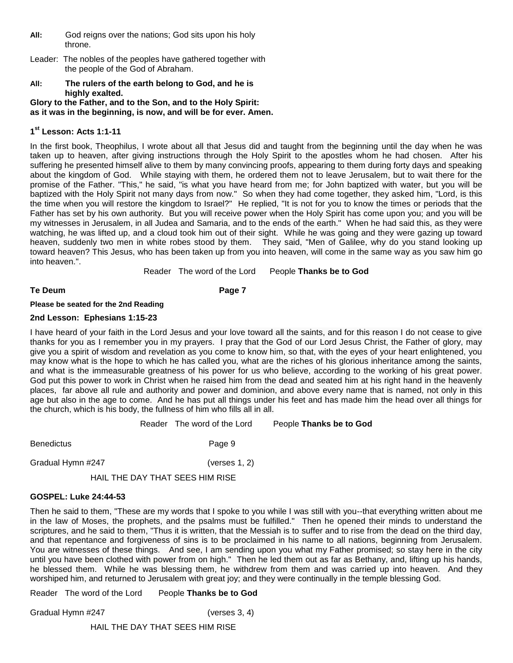- **All:** God reigns over the nations; God sits upon his holy throne.
- Leader: The nobles of the peoples have gathered together with the people of the God of Abraham.
- **All: The rulers of the earth belong to God, and he is highly exalted.**

**Glory to the Father, and to the Son, and to the Holy Spirit: as it was in the beginning, is now, and will be for ever. Amen.**

### **1 st Lesson: Acts 1:1-11**

In the first book, Theophilus, I wrote about all that Jesus did and taught from the beginning until the day when he was taken up to heaven, after giving instructions through the Holy Spirit to the apostles whom he had chosen. After his suffering he presented himself alive to them by many convincing proofs, appearing to them during forty days and speaking about the kingdom of God. While staying with them, he ordered them not to leave Jerusalem, but to wait there for the promise of the Father. "This," he said, "is what you have heard from me; for John baptized with water, but you will be baptized with the Holy Spirit not many days from now." So when they had come together, they asked him, "Lord, is this the time when you will restore the kingdom to Israel?" He replied, "It is not for you to know the times or periods that the Father has set by his own authority. But you will receive power when the Holy Spirit has come upon you; and you will be my witnesses in Jerusalem, in all Judea and Samaria, and to the ends of the earth." When he had said this, as they were watching, he was lifted up, and a cloud took him out of their sight. While he was going and they were gazing up toward heaven, suddenly two men in white robes stood by them. They said, "Men of Galilee, why do you stand looking up toward heaven? This Jesus, who has been taken up from you into heaven, will come in the same way as you saw him go into heaven."

Reader The word of the Lord People **Thanks be to God**

#### Te Deum **Page 7**

#### **Please be seated for the 2nd Reading**

#### **2nd Lesson: Ephesians 1:15-23**

I have heard of your faith in the Lord Jesus and your love toward all the saints, and for this reason I do not cease to give thanks for you as I remember you in my prayers. I pray that the God of our Lord Jesus Christ, the Father of glory, may give you a spirit of wisdom and revelation as you come to know him, so that, with the eyes of your heart enlightened, you may know what is the hope to which he has called you, what are the riches of his glorious inheritance among the saints, and what is the immeasurable greatness of his power for us who believe, according to the working of his great power. God put this power to work in Christ when he raised him from the dead and seated him at his right hand in the heavenly places, far above all rule and authority and power and dominion, and above every name that is named, not only in this age but also in the age to come. And he has put all things under his feet and has made him the head over all things for the church, which is his body, the fullness of him who fills all in all.

Reader The word of the Lord People **Thanks be to God**

Benedictus **Page 9** 

Gradual Hymn #247 (verses 1, 2)

HAIL THE DAY THAT SEES HIM RISE

### **GOSPEL: Luke 24:44-53**

Then he said to them, "These are my words that I spoke to you while I was still with you--that everything written about me in the law of Moses, the prophets, and the psalms must be fulfilled." Then he opened their minds to understand the scriptures, and he said to them, "Thus it is written, that the Messiah is to suffer and to rise from the dead on the third day, and that repentance and forgiveness of sins is to be proclaimed in his name to all nations, beginning from Jerusalem. You are witnesses of these things. And see, I am sending upon you what my Father promised; so stay here in the city until you have been clothed with power from on high." Then he led them out as far as Bethany, and, lifting up his hands, he blessed them. While he was blessing them, he withdrew from them and was carried up into heaven. And they worshiped him, and returned to Jerusalem with great joy; and they were continually in the temple blessing God.

Reader The word of the Lord People **Thanks be to God**

Gradual Hymn #247 (verses 3, 4)

HAIL THE DAY THAT SEES HIM RISE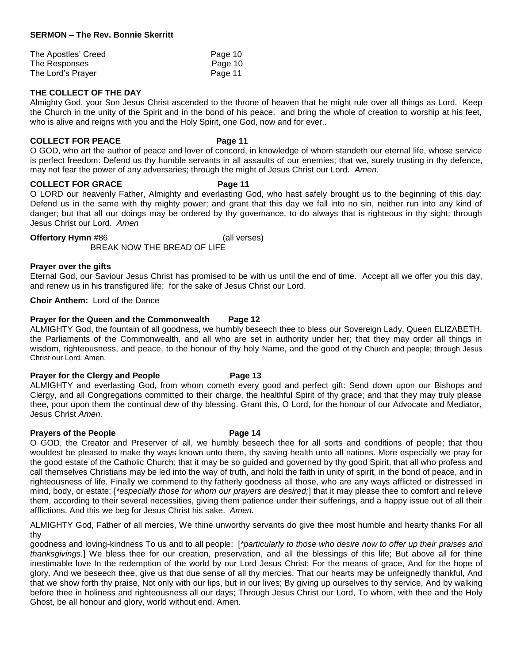#### **SERMON – The Rev. Bonnie Skerritt**

| The Apostles' Creed | Page 10 |
|---------------------|---------|
| The Responses       | Page 10 |
| The Lord's Prayer   | Page 11 |

### **THE COLLECT OF THE DAY**

Almighty God, your Son Jesus Christ ascended to the throne of heaven that he might rule over all things as Lord. Keep the Church in the unity of the Spirit and in the bond of his peace, and bring the whole of creation to worship at his feet, who is alive and reigns with you and the Holy Spirit, one God, now and for ever..

#### **COLLECT FOR PEACE Page 11**

O GOD, who art the author of peace and lover of concord, in knowledge of whom standeth our eternal life, whose service is perfect freedom: Defend us thy humble servants in all assaults of our enemies; that we, surely trusting in thy defence, may not fear the power of any adversaries; through the might of Jesus Christ our Lord. *Amen.*

#### **COLLECT FOR GRACE Page 11**

O LORD our heavenly Father, Almighty and everlasting God, who hast safely brought us to the beginning of this day: Defend us in the same with thy mighty power; and grant that this day we fall into no sin, neither run into any kind of danger; but that all our doings may be ordered by thy governance, to do always that is righteous in thy sight; through Jesus Christ our Lord. *Amen*

#### **Offertory Hymn** #86 (all verses)

BREAK NOW THE BREAD OF LIFE

#### **Prayer over the gifts**

Eternal God, our Saviour Jesus Christ has promised to be with us until the end of time. Accept all we offer you this day, and renew us in his transfigured life; for the sake of Jesus Christ our Lord.

**Choir Anthem:** Lord of the Dance

#### **Prayer for the Queen and the Commonwealth Page 12**

ALMIGHTY God, the fountain of all goodness, we humbly beseech thee to bless our Sovereign Lady, Queen ELIZABETH, the Parliaments of the Commonwealth, and all who are set in authority under her; that they may order all things in wisdom, righteousness, and peace, to the honour of thy holy Name, and the good of thy Church and people; through Jesus Christ our Lord. Amen.

#### **Prayer for the Clergy and People Page 13**

ALMIGHTY and everlasting God, from whom cometh every good and perfect gift: Send down upon our Bishops and Clergy, and all Congregations committed to their charge, the healthful Spirit of thy grace; and that they may truly please thee, pour upon them the continual dew of thy blessing. Grant this, O Lord, for the honour of our Advocate and Mediator, Jesus Christ *Amen.*

#### **Prayers of the People Page 14**

O GOD, the Creator and Preserver of all, we humbly beseech thee for all sorts and conditions of people; that thou wouldest be pleased to make thy ways known unto them, thy saving health unto all nations. More especially we pray for the good estate of the Catholic Church; that it may be so guided and governed by thy good Spirit, that all who profess and call themselves Christians may be led into the way of truth, and hold the faith in unity of spirit, in the bond of peace, and in righteousness of life. Finally we commend to thy fatherly goodness all those, who are any ways afflicted or distressed in mind, body, or estate; [*\*especially those for whom our prayers are desired;*] that it may please thee to comfort and relieve them, according to their several necessities, giving them patience under their sufferings, and a happy issue out of all their afflictions. And this we beg for Jesus Christ his sake. *Amen.*

ALMIGHTY God, Father of all mercies, We thine unworthy servants do give thee most humble and hearty thanks For all thy

goodness and loving-kindness To us and to all people; [*\*particularly to those who desire now to offer up their praises and thanksgivings.*] We bless thee for our creation, preservation, and all the blessings of this life; But above all for thine inestimable love In the redemption of the world by our Lord Jesus Christ; For the means of grace, And for the hope of glory. And we beseech thee, give us that due sense of all thy mercies, That our hearts may be unfeignedly thankful, And that we show forth thy praise, Not only with our lips, but in our lives; By giving up ourselves to thy service, And by walking before thee in holiness and righteousness all our days; Through Jesus Christ our Lord, To whom, with thee and the Holy Ghost, be all honour and glory, world without end. Amen.